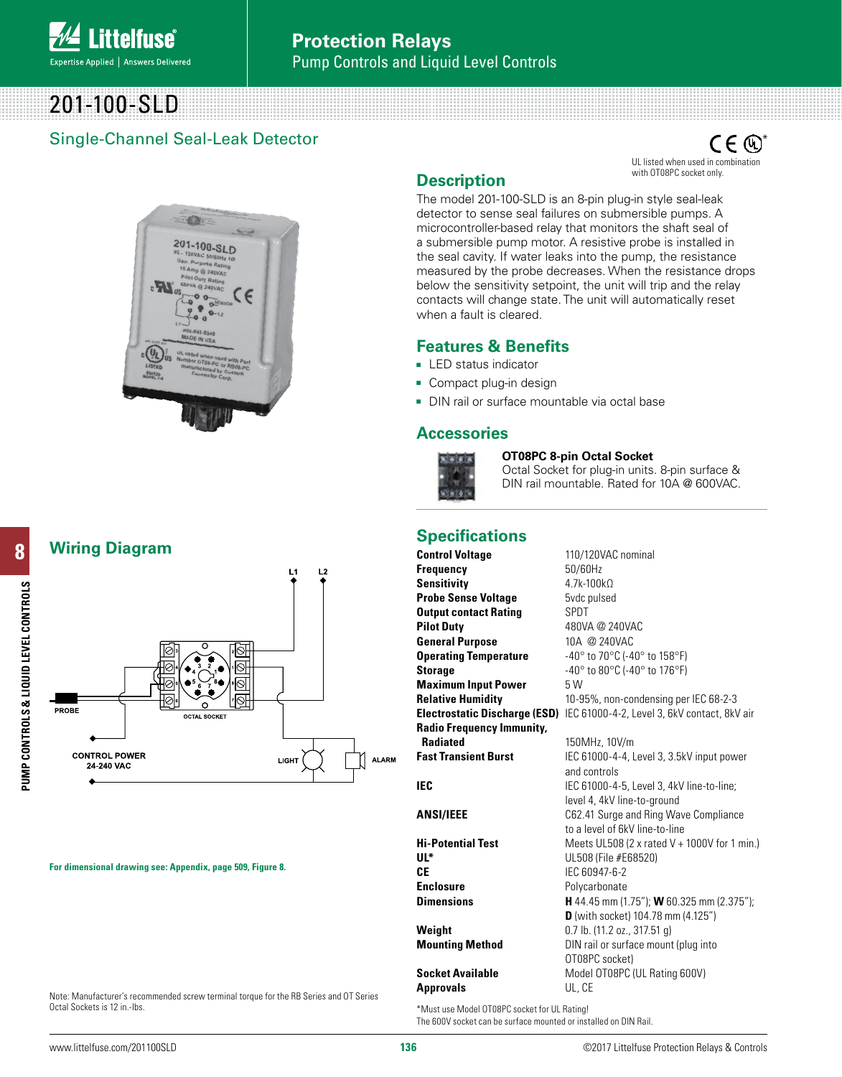

# 201-100-SLD

## Single-Channel Seal-Leak Detector

**CH** 201-100-SLD

**Wiring Diagram**



**For dimensional drawing see: Appendix, page 509, Figure 8.**

Note: Manufacturer's recommended screw terminal torque for the RB Series and OT Series Octal Sockets is 12 in.-lbs.

 $\mathsf{CE}$   $\mathbb{O}^\mathsf{s}$ UL listed when used in combination with OT08PC socket only.

## **Description**

The model 201-100-SLD is an 8-pin plug-in style seal-leak detector to sense seal failures on submersible pumps. A microcontroller-based relay that monitors the shaft seal of a submersible pump motor. A resistive probe is installed in the seal cavity. If water leaks into the pump, the resistance measured by the probe decreases. When the resistance drops below the sensitivity setpoint, the unit will trip and the relay contacts will change state. The unit will automatically reset when a fault is cleared.

## **Features & Benefits**

- **LED** status indicator
- Compact plug-in design
- DIN rail or surface mountable via octal base

### **Accessories**



#### **OT08PC 8-pin Octal Socket**

Octal Socket for plug-in units. 8-pin surface & DIN rail mountable. Rated for 10A @ 600VAC.

## **Specifications**

**Control Voltage** 110/120VAC nominal **Frequency** 50/60Hz Sensitivity 4.7k-100kΩ **Probe Sense Voltage** 5vdc pulsed **Output contact Rating SPDT Pilot Duty** 480VA @ 240VAC **General Purpose** 10A @ 240VAC **Operating Temperature** -40° to 70°C (-40° to 158°F) **Storage**  $-40^{\circ}$  to 80 $^{\circ}$ C (-40 $^{\circ}$  to 176 $^{\circ}$ F) **Maximum Input Power** 5 W **Relative Humidity** 10-95%, non-condensing per IEC 68-2-3 **Electrostatic Discharge (ESD)** IEC 61000-4-2, Level 3, 6kV contact, 8kV air **Radio Frequency Immunity, Radiated** 150MHz, 10V/m **Fast Transient Burst** IEC 61000-4-4, Level 3, 3.5kV input power and controls

**CE** IEC 60947-6-2 **Enclosure** Polycarbonate

**Approvals** UL, CE

**IEC** IEC 61000-4-5, Level 3, 4kV line-to-line; level 4, 4kV line-to-ground **ANSI/IEEE** C62.41 Surge and Ring Wave Compliance to a level of 6kV line-to-line **Hi-Potential Test** Meets UL508 (2 x rated V + 1000V for 1 min.) **UL\*** UL508 (File #E68520) **Dimensions H** 44.45 mm (1.75"); **W** 60.325 mm (2.375"); **D** (with socket) 104.78 mm (4.125") **Weight** 0.7 lb. (11.2 oz., 317.51 g) **Mounting Method** DIN rail or surface mount (plug into OT08PC socket) **Socket Available** Model OT08PC (UL Rating 600V)

\*Must use Model OT08PC socket for UL Rating! The 600V socket can be surface mounted or installed on DIN Rail.